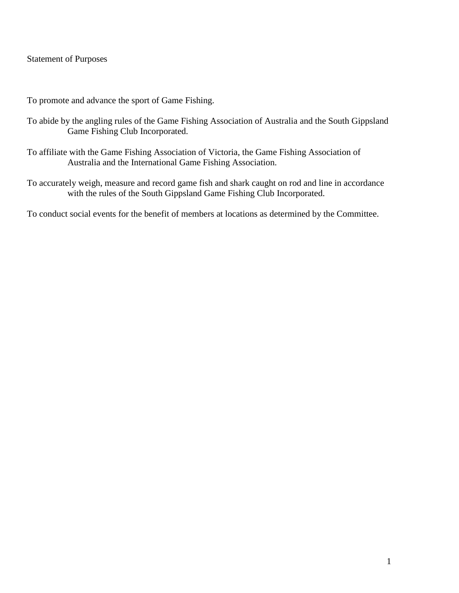#### Statement of Purposes

To promote and advance the sport of Game Fishing.

- To abide by the angling rules of the Game Fishing Association of Australia and the South Gippsland Game Fishing Club Incorporated.
- To affiliate with the Game Fishing Association of Victoria, the Game Fishing Association of Australia and the International Game Fishing Association.
- To accurately weigh, measure and record game fish and shark caught on rod and line in accordance with the rules of the South Gippsland Game Fishing Club Incorporated.

To conduct social events for the benefit of members at locations as determined by the Committee.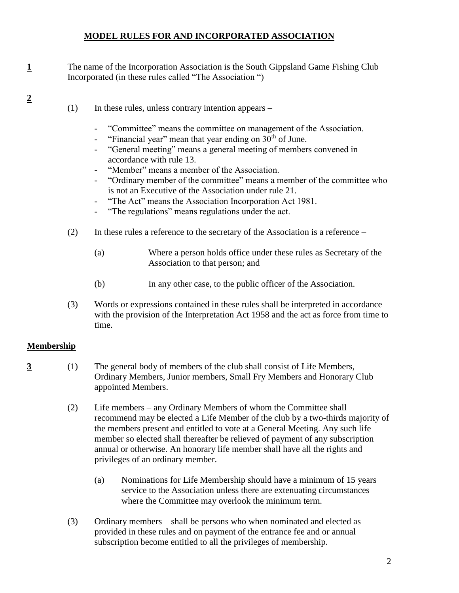### **MODEL RULES FOR AND INCORPORATED ASSOCIATION**

- **1** The name of the Incorporation Association is the South Gippsland Game Fishing Club Incorporated (in these rules called "The Association ")
	- $(1)$  In these rules, unless contrary intention appears
		- "Committee" means the committee on management of the Association.
		- "Financial year" mean that year ending on  $30<sup>th</sup>$  of June.
		- "General meeting" means a general meeting of members convened in accordance with rule 13.
		- "Member" means a member of the Association.
		- "Ordinary member of the committee" means a member of the committee who is not an Executive of the Association under rule 21.
		- "The Act" means the Association Incorporation Act 1981.
		- "The regulations" means regulations under the act.
	- (2) In these rules a reference to the secretary of the Association is a reference
		- (a) Where a person holds office under these rules as Secretary of the Association to that person; and
		- (b) In any other case, to the public officer of the Association.
	- (3) Words or expressions contained in these rules shall be interpreted in accordance with the provision of the Interpretation Act 1958 and the act as force from time to time.

#### **Membership**

**2** 

- **3** (1) The general body of members of the club shall consist of Life Members, Ordinary Members, Junior members, Small Fry Members and Honorary Club appointed Members.
	- (2) Life members any Ordinary Members of whom the Committee shall recommend may be elected a Life Member of the club by a two-thirds majority of the members present and entitled to vote at a General Meeting. Any such life member so elected shall thereafter be relieved of payment of any subscription annual or otherwise. An honorary life member shall have all the rights and privileges of an ordinary member.
		- (a) Nominations for Life Membership should have a minimum of 15 years service to the Association unless there are extenuating circumstances where the Committee may overlook the minimum term.
	- (3) Ordinary members shall be persons who when nominated and elected as provided in these rules and on payment of the entrance fee and or annual subscription become entitled to all the privileges of membership.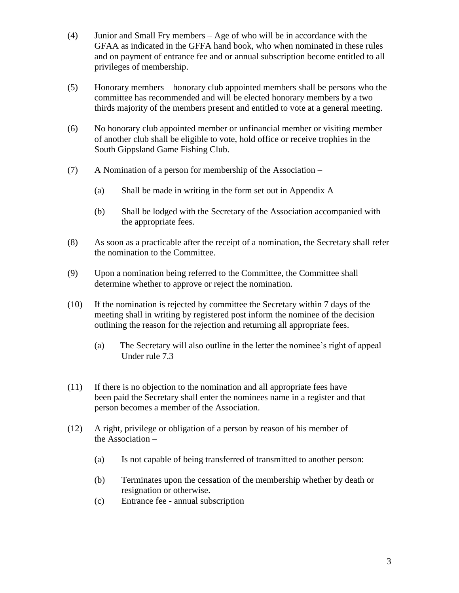- (4) Junior and Small Fry members Age of who will be in accordance with the GFAA as indicated in the GFFA hand book, who when nominated in these rules and on payment of entrance fee and or annual subscription become entitled to all privileges of membership.
- (5) Honorary members honorary club appointed members shall be persons who the committee has recommended and will be elected honorary members by a two thirds majority of the members present and entitled to vote at a general meeting.
- (6) No honorary club appointed member or unfinancial member or visiting member of another club shall be eligible to vote, hold office or receive trophies in the South Gippsland Game Fishing Club.
- (7) A Nomination of a person for membership of the Association
	- (a) Shall be made in writing in the form set out in Appendix A
	- (b) Shall be lodged with the Secretary of the Association accompanied with the appropriate fees.
- (8) As soon as a practicable after the receipt of a nomination, the Secretary shall refer the nomination to the Committee.
- (9) Upon a nomination being referred to the Committee, the Committee shall determine whether to approve or reject the nomination.
- (10) If the nomination is rejected by committee the Secretary within 7 days of the meeting shall in writing by registered post inform the nominee of the decision outlining the reason for the rejection and returning all appropriate fees.
	- (a) The Secretary will also outline in the letter the nominee's right of appeal Under rule 7.3
- (11) If there is no objection to the nomination and all appropriate fees have been paid the Secretary shall enter the nominees name in a register and that person becomes a member of the Association.
- (12) A right, privilege or obligation of a person by reason of his member of the Association –
	- (a) Is not capable of being transferred of transmitted to another person:
	- (b) Terminates upon the cessation of the membership whether by death or resignation or otherwise.
	- (c) Entrance fee annual subscription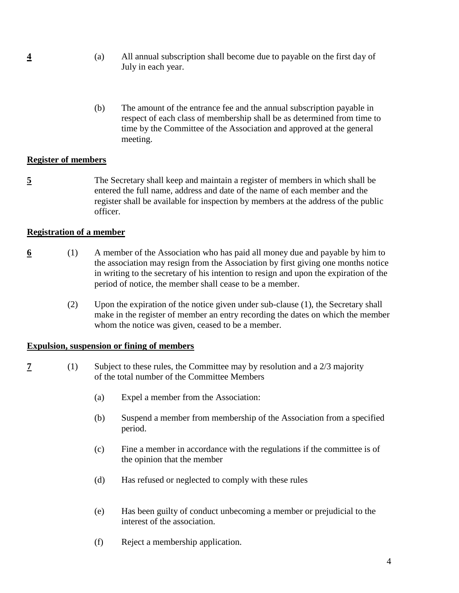- **4** (a) All annual subscription shall become due to payable on the first day of July in each year.
	- (b) The amount of the entrance fee and the annual subscription payable in respect of each class of membership shall be as determined from time to time by the Committee of the Association and approved at the general meeting.

#### **Register of members**

**5** The Secretary shall keep and maintain a register of members in which shall be entered the full name, address and date of the name of each member and the register shall be available for inspection by members at the address of the public officer.

#### **Registration of a member**

- **6** (1) A member of the Association who has paid all money due and payable by him to the association may resign from the Association by first giving one months notice in writing to the secretary of his intention to resign and upon the expiration of the period of notice, the member shall cease to be a member.
	- (2) Upon the expiration of the notice given under sub-clause (1), the Secretary shall make in the register of member an entry recording the dates on which the member whom the notice was given, ceased to be a member.

#### **Expulsion, suspension or fining of members**

- **7** (1) Subject to these rules, the Committee may by resolution and a 2/3 majority of the total number of the Committee Members
	- (a) Expel a member from the Association:
	- (b) Suspend a member from membership of the Association from a specified period.
	- (c) Fine a member in accordance with the regulations if the committee is of the opinion that the member
	- (d) Has refused or neglected to comply with these rules
	- (e) Has been guilty of conduct unbecoming a member or prejudicial to the interest of the association.
	- (f) Reject a membership application.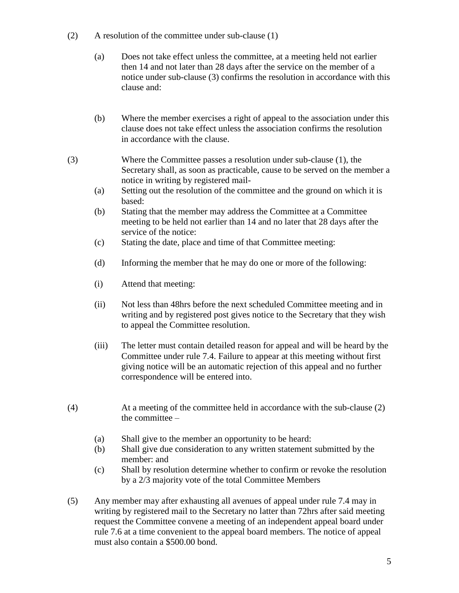- (2) A resolution of the committee under sub-clause (1)
	- (a) Does not take effect unless the committee, at a meeting held not earlier then 14 and not later than 28 days after the service on the member of a notice under sub-clause (3) confirms the resolution in accordance with this clause and:
	- (b) Where the member exercises a right of appeal to the association under this clause does not take effect unless the association confirms the resolution in accordance with the clause.
- (3) Where the Committee passes a resolution under sub-clause (1), the Secretary shall, as soon as practicable, cause to be served on the member a notice in writing by registered mail-
	- (a) Setting out the resolution of the committee and the ground on which it is based:
	- (b) Stating that the member may address the Committee at a Committee meeting to be held not earlier than 14 and no later that 28 days after the service of the notice:
	- (c) Stating the date, place and time of that Committee meeting:
	- (d) Informing the member that he may do one or more of the following:
	- (i) Attend that meeting:
	- (ii) Not less than 48hrs before the next scheduled Committee meeting and in writing and by registered post gives notice to the Secretary that they wish to appeal the Committee resolution.
	- (iii) The letter must contain detailed reason for appeal and will be heard by the Committee under rule 7.4. Failure to appear at this meeting without first giving notice will be an automatic rejection of this appeal and no further correspondence will be entered into.
- (4) At a meeting of the committee held in accordance with the sub-clause (2) the committee –
	- (a) Shall give to the member an opportunity to be heard:
	- (b) Shall give due consideration to any written statement submitted by the member: and
	- (c) Shall by resolution determine whether to confirm or revoke the resolution by a 2/3 majority vote of the total Committee Members
- (5) Any member may after exhausting all avenues of appeal under rule 7.4 may in writing by registered mail to the Secretary no latter than 72hrs after said meeting request the Committee convene a meeting of an independent appeal board under rule 7.6 at a time convenient to the appeal board members. The notice of appeal must also contain a \$500.00 bond.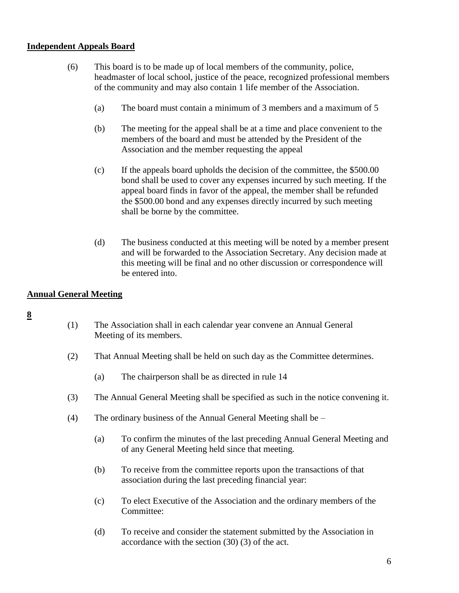#### **Independent Appeals Board**

- (6) This board is to be made up of local members of the community, police, headmaster of local school, justice of the peace, recognized professional members of the community and may also contain 1 life member of the Association.
	- (a) The board must contain a minimum of 3 members and a maximum of 5
	- (b) The meeting for the appeal shall be at a time and place convenient to the members of the board and must be attended by the President of the Association and the member requesting the appeal
	- (c) If the appeals board upholds the decision of the committee, the \$500.00 bond shall be used to cover any expenses incurred by such meeting. If the appeal board finds in favor of the appeal, the member shall be refunded the \$500.00 bond and any expenses directly incurred by such meeting shall be borne by the committee.
	- (d) The business conducted at this meeting will be noted by a member present and will be forwarded to the Association Secretary. Any decision made at this meeting will be final and no other discussion or correspondence will be entered into.

# **Annual General Meeting**

- (1) The Association shall in each calendar year convene an Annual General Meeting of its members.
- (2) That Annual Meeting shall be held on such day as the Committee determines.
	- (a) The chairperson shall be as directed in rule 14
- (3) The Annual General Meeting shall be specified as such in the notice convening it.
- (4) The ordinary business of the Annual General Meeting shall be
	- (a) To confirm the minutes of the last preceding Annual General Meeting and of any General Meeting held since that meeting.
	- (b) To receive from the committee reports upon the transactions of that association during the last preceding financial year:
	- (c) To elect Executive of the Association and the ordinary members of the Committee:
	- (d) To receive and consider the statement submitted by the Association in accordance with the section (30) (3) of the act.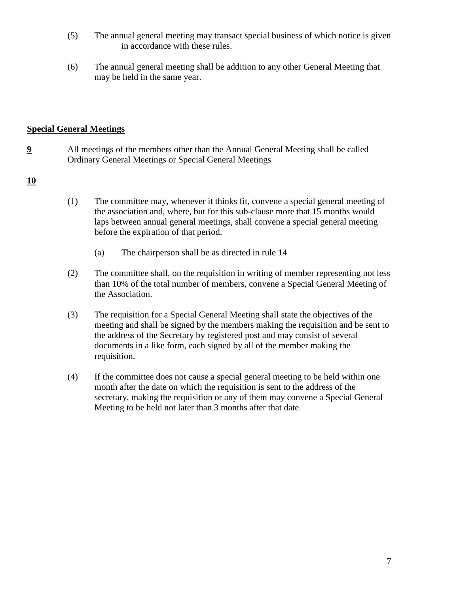- (5) The annual general meeting may transact special business of which notice is given in accordance with these rules.
- (6) The annual general meeting shall be addition to any other General Meeting that may be held in the same year.

### **Special General Meetings**

**9** All meetings of the members other than the Annual General Meeting shall be called Ordinary General Meetings or Special General Meetings

### **10**

- (1) The committee may, whenever it thinks fit, convene a special general meeting of the association and, where, but for this sub-clause more that 15 months would laps between annual general meetings, shall convene a special general meeting before the expiration of that period.
	- (a) The chairperson shall be as directed in rule 14
- (2) The committee shall, on the requisition in writing of member representing not less than 10% of the total number of members, convene a Special General Meeting of the Association.
- (3) The requisition for a Special General Meeting shall state the objectives of the meeting and shall be signed by the members making the requisition and be sent to the address of the Secretary by registered post and may consist of several documents in a like form, each signed by all of the member making the requisition.
- (4) If the committee does not cause a special general meeting to be held within one month after the date on which the requisition is sent to the address of the secretary, making the requisition or any of them may convene a Special General Meeting to be held not later than 3 months after that date.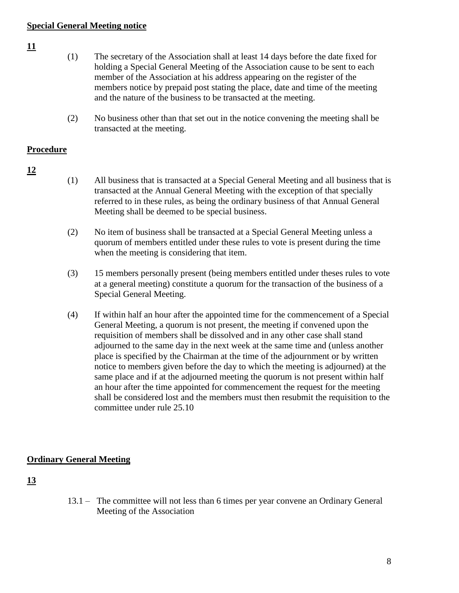### **Special General Meeting notice**

#### **11**

- (1) The secretary of the Association shall at least 14 days before the date fixed for holding a Special General Meeting of the Association cause to be sent to each member of the Association at his address appearing on the register of the members notice by prepaid post stating the place, date and time of the meeting and the nature of the business to be transacted at the meeting.
- (2) No business other than that set out in the notice convening the meeting shall be transacted at the meeting.

### **Procedure**

- **12**
- (1) All business that is transacted at a Special General Meeting and all business that is transacted at the Annual General Meeting with the exception of that specially referred to in these rules, as being the ordinary business of that Annual General Meeting shall be deemed to be special business.
- (2) No item of business shall be transacted at a Special General Meeting unless a quorum of members entitled under these rules to vote is present during the time when the meeting is considering that item.
- (3) 15 members personally present (being members entitled under theses rules to vote at a general meeting) constitute a quorum for the transaction of the business of a Special General Meeting.
- (4) If within half an hour after the appointed time for the commencement of a Special General Meeting, a quorum is not present, the meeting if convened upon the requisition of members shall be dissolved and in any other case shall stand adjourned to the same day in the next week at the same time and (unless another place is specified by the Chairman at the time of the adjournment or by written notice to members given before the day to which the meeting is adjourned) at the same place and if at the adjourned meeting the quorum is not present within half an hour after the time appointed for commencement the request for the meeting shall be considered lost and the members must then resubmit the requisition to the committee under rule 25.10

# **Ordinary General Meeting**

# **13**

13.1 – The committee will not less than 6 times per year convene an Ordinary General Meeting of the Association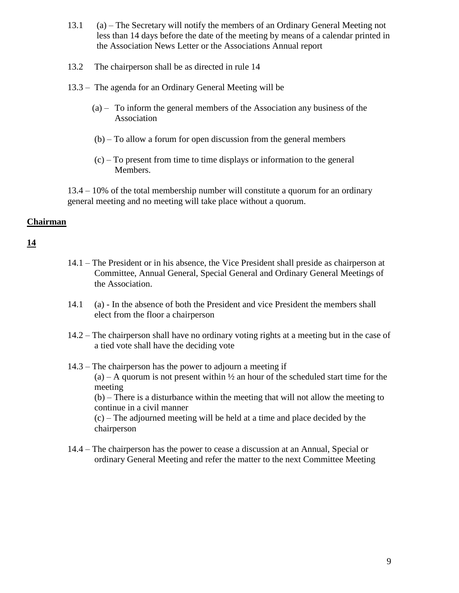- 13.1 (a) The Secretary will notify the members of an Ordinary General Meeting not less than 14 days before the date of the meeting by means of a calendar printed in the Association News Letter or the Associations Annual report
- 13.2 The chairperson shall be as directed in rule 14
- 13.3 The agenda for an Ordinary General Meeting will be
	- (a) To inform the general members of the Association any business of the Association
	- (b) To allow a forum for open discussion from the general members
	- (c) To present from time to time displays or information to the general Members.

13.4 – 10% of the total membership number will constitute a quorum for an ordinary general meeting and no meeting will take place without a quorum.

### **Chairman**

# **14**

- 14.1 The President or in his absence, the Vice President shall preside as chairperson at Committee, Annual General, Special General and Ordinary General Meetings of the Association.
- 14.1 (a) In the absence of both the President and vice President the members shall elect from the floor a chairperson
- 14.2 The chairperson shall have no ordinary voting rights at a meeting but in the case of a tied vote shall have the deciding vote

14.3 – The chairperson has the power to adjourn a meeting if  $(a)$  – A quorum is not present within  $\frac{1}{2}$  an hour of the scheduled start time for the meeting (b) – There is a disturbance within the meeting that will not allow the meeting to continue in a civil manner (c) – The adjourned meeting will be held at a time and place decided by the chairperson

14.4 – The chairperson has the power to cease a discussion at an Annual, Special or ordinary General Meeting and refer the matter to the next Committee Meeting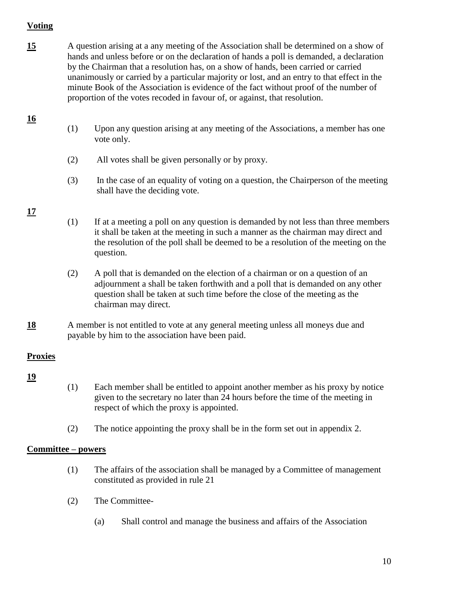# **Voting**

- **15** A question arising at a any meeting of the Association shall be determined on a show of hands and unless before or on the declaration of hands a poll is demanded, a declaration by the Chairman that a resolution has, on a show of hands, been carried or carried unanimously or carried by a particular majority or lost, and an entry to that effect in the minute Book of the Association is evidence of the fact without proof of the number of proportion of the votes recoded in favour of, or against, that resolution.
	- (1) Upon any question arising at any meeting of the Associations, a member has one vote only.
	- (2) All votes shall be given personally or by proxy.
	- (3) In the case of an equality of voting on a question, the Chairperson of the meeting shall have the deciding vote.

# **17**

**16**

- (1) If at a meeting a poll on any question is demanded by not less than three members it shall be taken at the meeting in such a manner as the chairman may direct and the resolution of the poll shall be deemed to be a resolution of the meeting on the question.
- (2) A poll that is demanded on the election of a chairman or on a question of an adjournment a shall be taken forthwith and a poll that is demanded on any other question shall be taken at such time before the close of the meeting as the chairman may direct.
- 18 A member is not entitled to vote at any general meeting unless all moneys due and payable by him to the association have been paid.

# **Proxies**

# **19**

- (1) Each member shall be entitled to appoint another member as his proxy by notice given to the secretary no later than 24 hours before the time of the meeting in respect of which the proxy is appointed.
- (2) The notice appointing the proxy shall be in the form set out in appendix 2.

# **Committee – powers**

- (1) The affairs of the association shall be managed by a Committee of management constituted as provided in rule 21
- (2) The Committee-
	- (a) Shall control and manage the business and affairs of the Association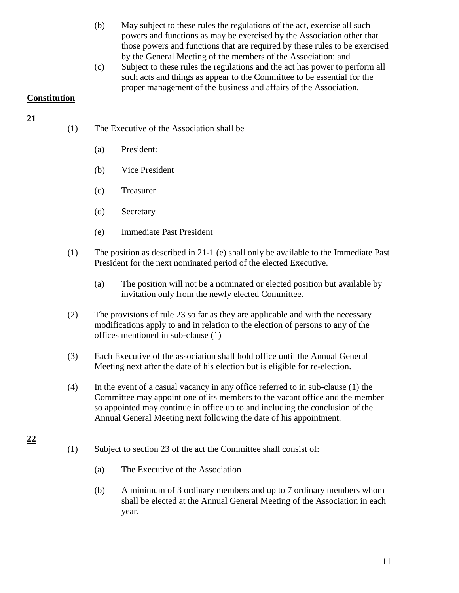- (b) May subject to these rules the regulations of the act, exercise all such powers and functions as may be exercised by the Association other that those powers and functions that are required by these rules to be exercised by the General Meeting of the members of the Association: and
- (c) Subject to these rules the regulations and the act has power to perform all such acts and things as appear to the Committee to be essential for the proper management of the business and affairs of the Association.

### **Constitution**

**21**

**22**

- (1) The Executive of the Association shall be
	- (a) President:
	- (b) Vice President
	- (c) Treasurer
	- (d) Secretary
	- (e) Immediate Past President
- (1) The position as described in 21-1 (e) shall only be available to the Immediate Past President for the next nominated period of the elected Executive.
	- (a) The position will not be a nominated or elected position but available by invitation only from the newly elected Committee.
- (2) The provisions of rule 23 so far as they are applicable and with the necessary modifications apply to and in relation to the election of persons to any of the offices mentioned in sub-clause (1)
- (3) Each Executive of the association shall hold office until the Annual General Meeting next after the date of his election but is eligible for re-election.
- (4) In the event of a casual vacancy in any office referred to in sub-clause (1) the Committee may appoint one of its members to the vacant office and the member so appointed may continue in office up to and including the conclusion of the Annual General Meeting next following the date of his appointment.
- (1) Subject to section 23 of the act the Committee shall consist of:
	- (a) The Executive of the Association
	- (b) A minimum of 3 ordinary members and up to 7 ordinary members whom shall be elected at the Annual General Meeting of the Association in each year.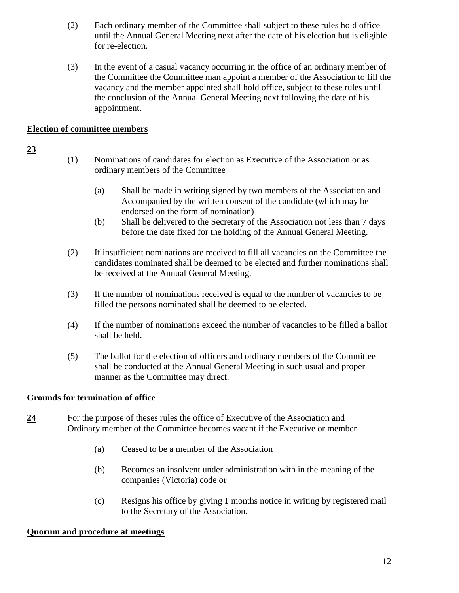- (2) Each ordinary member of the Committee shall subject to these rules hold office until the Annual General Meeting next after the date of his election but is eligible for re-election.
- (3) In the event of a casual vacancy occurring in the office of an ordinary member of the Committee the Committee man appoint a member of the Association to fill the vacancy and the member appointed shall hold office, subject to these rules until the conclusion of the Annual General Meeting next following the date of his appointment.

# **Election of committee members**

### **23**

- (1) Nominations of candidates for election as Executive of the Association or as ordinary members of the Committee
	- (a) Shall be made in writing signed by two members of the Association and Accompanied by the written consent of the candidate (which may be endorsed on the form of nomination)
	- (b) Shall be delivered to the Secretary of the Association not less than 7 days before the date fixed for the holding of the Annual General Meeting.
- (2) If insufficient nominations are received to fill all vacancies on the Committee the candidates nominated shall be deemed to be elected and further nominations shall be received at the Annual General Meeting.
- (3) If the number of nominations received is equal to the number of vacancies to be filled the persons nominated shall be deemed to be elected.
- (4) If the number of nominations exceed the number of vacancies to be filled a ballot shall be held.
- (5) The ballot for the election of officers and ordinary members of the Committee shall be conducted at the Annual General Meeting in such usual and proper manner as the Committee may direct.

# **Grounds for termination of office**

- **24** For the purpose of theses rules the office of Executive of the Association and Ordinary member of the Committee becomes vacant if the Executive or member
	- (a) Ceased to be a member of the Association
	- (b) Becomes an insolvent under administration with in the meaning of the companies (Victoria) code or
	- (c) Resigns his office by giving 1 months notice in writing by registered mail to the Secretary of the Association.

# **Quorum and procedure at meetings**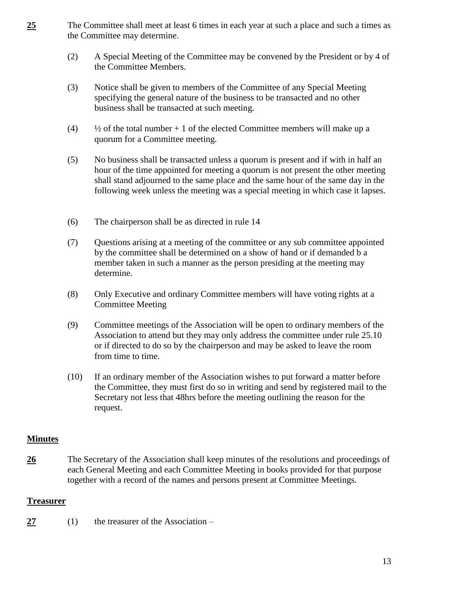- **25** The Committee shall meet at least 6 times in each year at such a place and such a times as the Committee may determine.
	- (2) A Special Meeting of the Committee may be convened by the President or by 4 of the Committee Members.
	- (3) Notice shall be given to members of the Committee of any Special Meeting specifying the general nature of the business to be transacted and no other business shall be transacted at such meeting.
	- (4)  $\frac{1}{2}$  of the total number + 1 of the elected Committee members will make up a quorum for a Committee meeting.
	- (5) No business shall be transacted unless a quorum is present and if with in half an hour of the time appointed for meeting a quorum is not present the other meeting shall stand adjourned to the same place and the same hour of the same day in the following week unless the meeting was a special meeting in which case it lapses.
	- (6) The chairperson shall be as directed in rule 14
	- (7) Questions arising at a meeting of the committee or any sub committee appointed by the committee shall be determined on a show of hand or if demanded b a member taken in such a manner as the person presiding at the meeting may determine.
	- (8) Only Executive and ordinary Committee members will have voting rights at a Committee Meeting
	- (9) Committee meetings of the Association will be open to ordinary members of the Association to attend but they may only address the committee under rule 25.10 or if directed to do so by the chairperson and may be asked to leave the room from time to time.
	- (10) If an ordinary member of the Association wishes to put forward a matter before the Committee, they must first do so in writing and send by registered mail to the Secretary not less that 48hrs before the meeting outlining the reason for the request.

#### **Minutes**

**26** The Secretary of the Association shall keep minutes of the resolutions and proceedings of each General Meeting and each Committee Meeting in books provided for that purpose together with a record of the names and persons present at Committee Meetings.

#### **Treasurer**

**27** (1) the treasurer of the Association –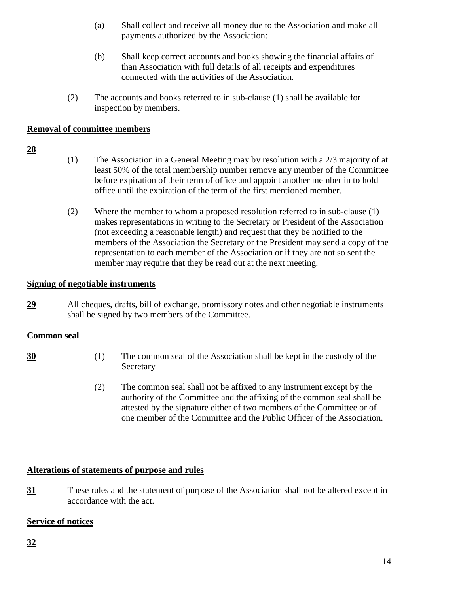- (a) Shall collect and receive all money due to the Association and make all payments authorized by the Association:
- (b) Shall keep correct accounts and books showing the financial affairs of than Association with full details of all receipts and expenditures connected with the activities of the Association.
- (2) The accounts and books referred to in sub-clause (1) shall be available for inspection by members.

# **Removal of committee members**

### **28**

- (1) The Association in a General Meeting may by resolution with a 2/3 majority of at least 50% of the total membership number remove any member of the Committee before expiration of their term of office and appoint another member in to hold office until the expiration of the term of the first mentioned member.
- (2) Where the member to whom a proposed resolution referred to in sub-clause (1) makes representations in writing to the Secretary or President of the Association (not exceeding a reasonable length) and request that they be notified to the members of the Association the Secretary or the President may send a copy of the representation to each member of the Association or if they are not so sent the member may require that they be read out at the next meeting.

# **Signing of negotiable instruments**

**29** All cheques, drafts, bill of exchange, promissory notes and other negotiable instruments shall be signed by two members of the Committee.

# **Common seal**

- **30** (1) The common seal of the Association shall be kept in the custody of the Secretary
	- (2) The common seal shall not be affixed to any instrument except by the authority of the Committee and the affixing of the common seal shall be attested by the signature either of two members of the Committee or of one member of the Committee and the Public Officer of the Association.

# **Alterations of statements of purpose and rules**

**31** These rules and the statement of purpose of the Association shall not be altered except in accordance with the act.

# **Service of notices**